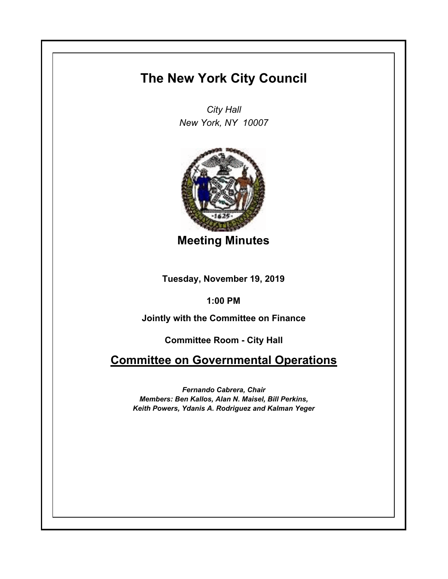## **The New York City Council**

*City Hall New York, NY 10007*



**Meeting Minutes**

**Tuesday, November 19, 2019**

**1:00 PM**

**Jointly with the Committee on Finance**

**Committee Room - City Hall**

**Committee on Governmental Operations**

*Fernando Cabrera, Chair Members: Ben Kallos, Alan N. Maisel, Bill Perkins, Keith Powers, Ydanis A. Rodriguez and Kalman Yeger*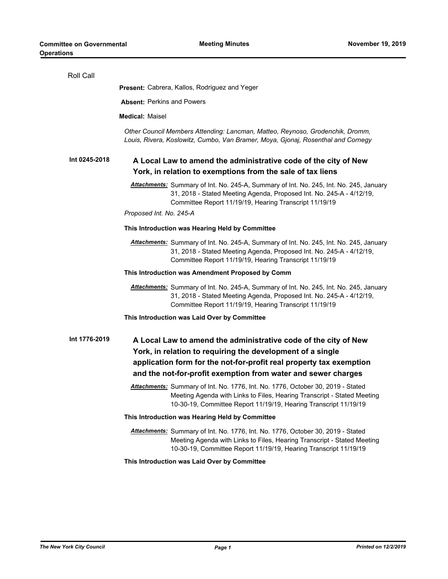| Roll Call     |                                                                                                                                                                                                                                                                       |
|---------------|-----------------------------------------------------------------------------------------------------------------------------------------------------------------------------------------------------------------------------------------------------------------------|
|               | <b>Present:</b> Cabrera, Kallos, Rodriguez and Yeger                                                                                                                                                                                                                  |
|               | <b>Absent: Perkins and Powers</b>                                                                                                                                                                                                                                     |
|               | <b>Medical: Maisel</b>                                                                                                                                                                                                                                                |
|               | Other Council Members Attending: Lancman, Matteo, Reynoso, Grodenchik, Dromm,<br>Louis, Rivera, Koslowitz, Cumbo, Van Bramer, Moya, Gjonaj, Rosenthal and Cornegy                                                                                                     |
| Int 0245-2018 | A Local Law to amend the administrative code of the city of New<br>York, in relation to exemptions from the sale of tax liens                                                                                                                                         |
|               | Attachments: Summary of Int. No. 245-A, Summary of Int. No. 245, Int. No. 245, January<br>31, 2018 - Stated Meeting Agenda, Proposed Int. No. 245-A - 4/12/19,<br>Committee Report 11/19/19, Hearing Transcript 11/19/19<br>Proposed Int. No. 245-A                   |
|               | This Introduction was Hearing Held by Committee                                                                                                                                                                                                                       |
|               | Attachments: Summary of Int. No. 245-A, Summary of Int. No. 245, Int. No. 245, January<br>31, 2018 - Stated Meeting Agenda, Proposed Int. No. 245-A - 4/12/19,<br>Committee Report 11/19/19, Hearing Transcript 11/19/19                                              |
|               | This Introduction was Amendment Proposed by Comm                                                                                                                                                                                                                      |
|               | Attachments: Summary of Int. No. 245-A, Summary of Int. No. 245, Int. No. 245, January<br>31, 2018 - Stated Meeting Agenda, Proposed Int. No. 245-A - 4/12/19,<br>Committee Report 11/19/19, Hearing Transcript 11/19/19                                              |
|               | This Introduction was Laid Over by Committee                                                                                                                                                                                                                          |
| Int 1776-2019 | A Local Law to amend the administrative code of the city of New<br>York, in relation to requiring the development of a single<br>application form for the not-for-profit real property tax exemption<br>and the not-for-profit exemption from water and sewer charges |
|               | Attachments: Summary of Int. No. 1776, Int. No. 1776, October 30, 2019 - Stated<br>Meeting Agenda with Links to Files, Hearing Transcript - Stated Meeting<br>10-30-19, Committee Report 11/19/19, Hearing Transcript 11/19/19                                        |
|               | This Introduction was Hearing Held by Committee                                                                                                                                                                                                                       |
|               | Attachments: Summary of Int. No. 1776, Int. No. 1776, October 30, 2019 - Stated<br>Meeting Agenda with Links to Files, Hearing Transcript - Stated Meeting<br>10-30-19, Committee Report 11/19/19, Hearing Transcript 11/19/19                                        |
|               | This Introduction was Laid Over by Committee                                                                                                                                                                                                                          |